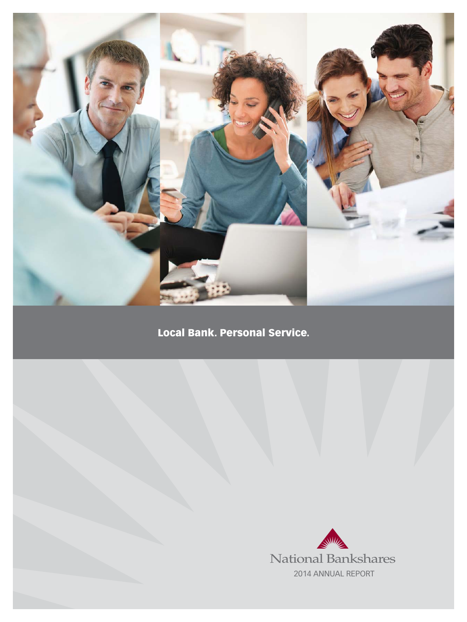

# Local Bank. Personal Service.

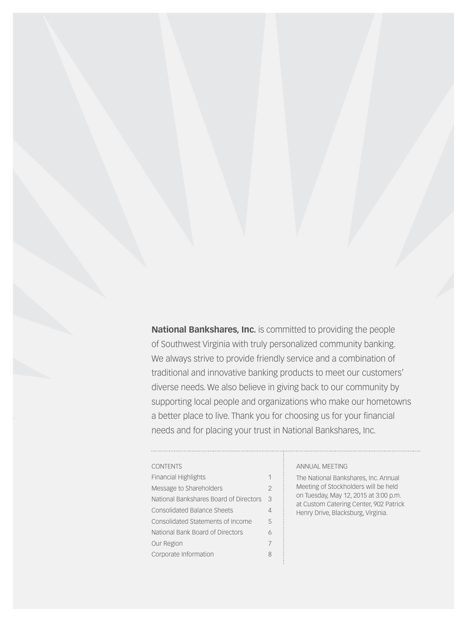**National Bankshares, Inc.** is committed to providing the people of Southwest Virginia with truly personalized community banking. We always strive to provide friendly service and a combination of traditional and innovative banking products to meet our customers' diverse needs. We also believe in giving back to our community by supporting local people and organizations who make our hometowns a better place to live. Thank you for choosing us for your financial needs and for placing your trust in National Bankshares, Inc.

#### **CONTENTS**

| <b>Financial Highlights</b>            |               |
|----------------------------------------|---------------|
| Message to Shareholders                | $\mathcal{P}$ |
| National Bankshares Board of Directors | 3             |
| <b>Consolidated Balance Sheets</b>     |               |
| Consolidated Statements of Income      | 5             |
| National Bank Board of Directors       | ĥ             |
| Our Region                             | 7             |
| Corporate Information                  |               |

#### annual meeting

The National Bankshares, Inc. Annual Meeting of Stockholders will be held on Tuesday, May 12, 2015 at 3:00 p.m. at Custom Catering Center, 902 Patrick Henry Drive, Blacksburg, Virginia.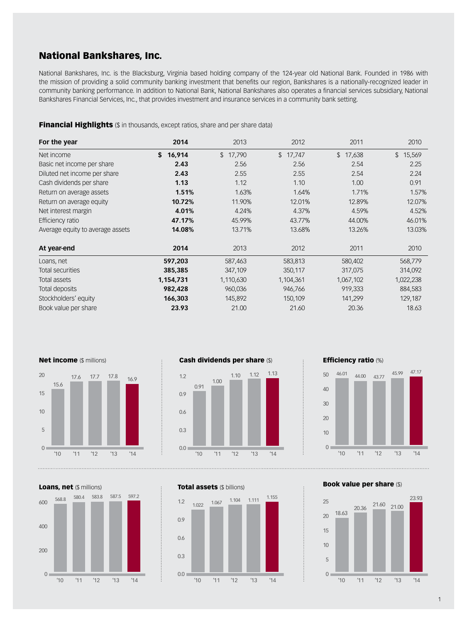## National Bankshares, Inc.

National Bankshares, Inc. is the Blacksburg, Virginia based holding company of the 124-year old National Bank. Founded in 1986 with the mission of providing a solid community banking investment that benefits our region, Bankshares is a nationally-recognized leader in community banking performance. In addition to National Bank, National Bankshares also operates a financial services subsidiary, National Bankshares Financial Services, Inc., that provides investment and insurance services in a community bank setting.

Financial Highlights (\$ in thousands, except ratios, share and per share data)

| For the year                     | 2014         | 2013                   | 2012                   | 2011                   | 2010                   |
|----------------------------------|--------------|------------------------|------------------------|------------------------|------------------------|
| Net income                       | \$<br>16,914 | $\mathbb{S}$<br>17,790 | $\mathbb{S}$<br>17,747 | $\mathbb{S}$<br>17,638 | $\mathbb{S}$<br>15,569 |
| Basic net income per share       | 2.43         | 2.56                   | 2.56                   | 2.54                   | 2.25                   |
| Diluted net income per share     | 2.43         | 2.55                   | 2.55                   | 2.54                   | 2.24                   |
| Cash dividends per share         | 1.13         | 1.12                   | 1.10                   | 1.00                   | 0.91                   |
| Return on average assets         | 1.51%        | 1.63%                  | 1.64%                  | 1.71%                  | 1.57%                  |
| Return on average equity         | 10.72%       | 11.90%                 | 12.01%                 | 12.89%                 | 12.07%                 |
| Net interest margin              | 4.01%        | 4.24%                  | 4.37%                  | 4.59%                  | 4.52%                  |
| Efficiency ratio                 | 47.17%       | 45.99%                 | 43.77%                 | 44.00%                 | 46.01%                 |
| Average equity to average assets | 14.08%       | 13.71%                 | 13.68%                 | 13.26%                 | 13.03%                 |
| At year-end                      | 2014         | 2013                   | 2012                   | 2011                   | 2010                   |
| Loans, net                       | 597,203      | 587,463                | 583,813                | 580,402                | 568,779                |
| Total securities                 | 385,385      | 347,109                | 350,117                | 317,075                | 314,092                |
| <b>Total assets</b>              | 1,154,731    | 1,110,630              | 1,104,361              | 1,067,102              | 1,022,238              |
| Total deposits                   | 982,428      | 960,036                | 946,766                | 919,333                | 884,583                |
| Stockholders' equity             | 166,303      | 145,892                | 150,109                | 141,299                | 129,187                |
| Book value per share             | 23.93        | 21.00                  | 21.60                  | 20.36                  | 18.63                  |



Loans, net (\$ millions)  $0<sub>1</sub>$ 200 400 600 '10 '11 '12 '13 '14 580.4 583.8 587.5 597.2 568.8



Total assets (\$ billions)







Book value per share (\$)

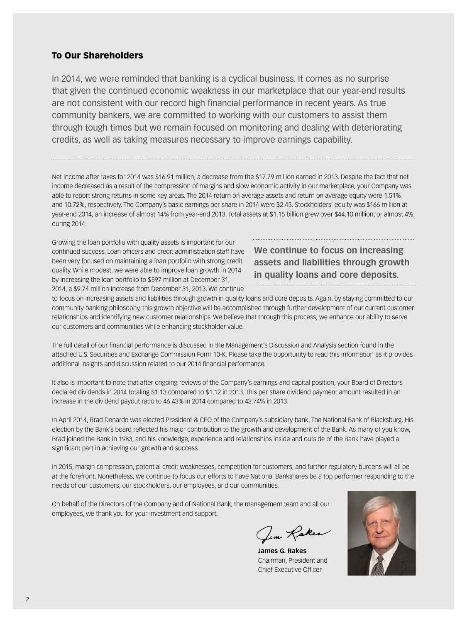### To Our Shareholders

In 2014, we were reminded that banking is a cyclical business. It comes as no surprise that given the continued economic weakness in our marketplace that our year-end results are not consistent with our record high financial performance in recent years. As true community bankers, we are committed to working with our customers to assist them through tough times but we remain focused on monitoring and dealing with deteriorating credits, as well as taking measures necessary to improve earnings capability.

Net income after taxes for 2014 was \$16.91 million, a decrease from the \$17.79 million earned in 2013. Despite the fact that net income decreased as a result of the compression of margins and slow economic activity in our marketplace, your Company was able to report strong returns in some key areas. The 2014 return on average assets and return on average equity were 1.51% and 10.72%, respectively. The Company's basic earnings per share in 2014 were \$2.43. Stockholders' equity was \$166 million at year-end 2014, an increase of almost 14% from year-end 2013. Total assets at \$1.15 billion grew over \$44.10 million, or almost 4%, during 2014.

Growing the loan portfolio with quality assets is important for our continued success. Loan officers and credit administration staff have been very focused on maintaining a loan portfolio with strong credit quality. While modest, we were able to improve loan growth in 2014 by increasing the loan portfolio to \$597 million at December 31, 2014, a \$9.74 million increase from December 31, 2013. We continue

## **We continue to focus on increasing assets and liabilities through growth in quality loans and core deposits.**

to focus on increasing assets and liabilities through growth in quality loans and core deposits. Again, by staying committed to our community banking philosophy, this growth objective will be accomplished through further development of our current customer relationships and identifying new customer relationships. We believe that through this process, we enhance our ability to serve our customers and communities while enhancing stockholder value.

The full detail of our financial performance is discussed in the Management's Discussion and Analysis section found in the attached U.S. Securities and Exchange Commission Form 10-K. Please take the opportunity to read this information as it provides additional insights and discussion related to our 2014 financial performance.

It also is important to note that after ongoing reviews of the Company's earnings and capital position, your Board of Directors declared dividends in 2014 totaling \$1.13 compared to \$1.12 in 2013. This per share dividend payment amount resulted in an increase in the dividend payout ratio to 46.43% in 2014 compared to 43.74% in 2013.

In April 2014, Brad Denardo was elected President & CEO of the Company's subsidiary bank, The National Bank of Blacksburg. His election by the Bank's board reflected his major contribution to the growth and development of the Bank. As many of you know, Brad joined the Bank in 1983, and his knowledge, experience and relationships inside and outside of the Bank have played a significant part in achieving our growth and success.

In 2015, margin compression, potential credit weaknesses, competition for customers, and further regulatory burdens will all be at the forefront. Nonetheless, we continue to focus our efforts to have National Bankshares be a top performer responding to the needs of our customers, our stockholders, our employees, and our communities.

On behalf of the Directors of the Company and of National Bank, the management team and all our employees, we thank you for your investment and support.

Jim Rakes

**James G. Rakes**  Chairman, President and Chief Executive Officer

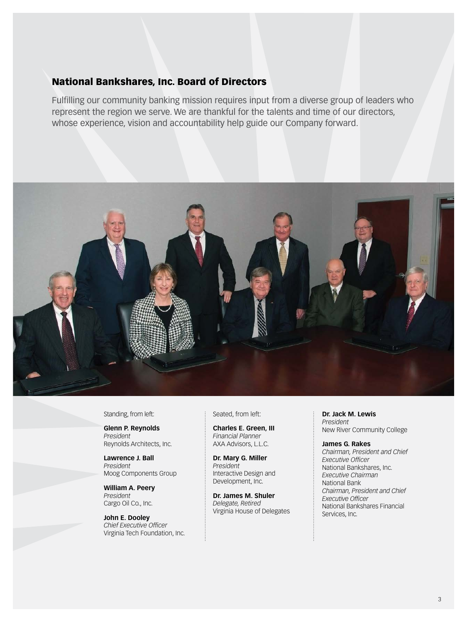### National Bankshares, Inc. Board of Directors

Fulfilling our community banking mission requires input from a diverse group of leaders who represent the region we serve. We are thankful for the talents and time of our directors, whose experience, vision and accountability help guide our Company forward.



#### Standing, from left:

**Glenn P. Reynolds**  *President*  Reynolds Architects, Inc.

**Lawrence J. Ball**  *President*  Moog Components Group

**William A. Peery** *President*  Cargo Oil Co., Inc.

**John E. Dooley**  *Chief Executive Officer*  Virginia Tech Foundation, Inc.

#### Seated, from left:

**Charles E. Green, III**  *Financial Planner*  AXA Advisors, L.L.C.

**Dr. Mary G. Miller**  *President*  Interactive Design and Development, Inc.

**Dr. James M. Shuler**  *Delegate, Retired*  Virginia House of Delegates **Dr. Jack M. Lewis**  *President*  New River Community College

#### **James G. Rakes**  *Chairman, President and Chief*

*Executive Officer*  National Bankshares, Inc. *Executive Chairman*  National Bank *Chairman, President and Chief Executive Officer* National Bankshares Financial Services, Inc.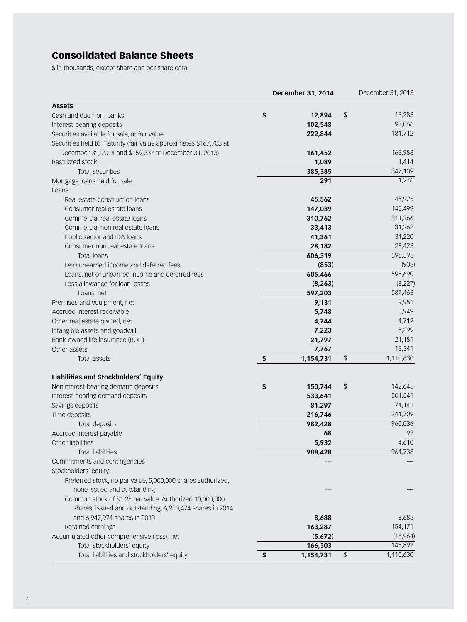## Consolidated Balance Sheets

\$ in thousands, except share and per share data

|                                                                   | December 31, 2014 |                                               | December 31, 2013 |
|-------------------------------------------------------------------|-------------------|-----------------------------------------------|-------------------|
| <b>Assets</b>                                                     |                   |                                               |                   |
| Cash and due from banks                                           | \$<br>12,894      | \$                                            | 13,283            |
| Interest-bearing deposits                                         | 102,548           |                                               | 98,066            |
| Securities available for sale, at fair value                      | 222,844           |                                               | 181,712           |
| Securities held to maturity (fair value approximates \$167,703 at |                   |                                               |                   |
| December 31, 2014 and \$159,337 at December 31, 2013)             | 161,452           |                                               | 163,983           |
| Restricted stock                                                  | 1,089             |                                               | 1,414             |
| Total securities                                                  | 385,385           |                                               | 347,109           |
| Mortgage loans held for sale                                      | 291               |                                               | 1,276             |
| Loans:                                                            |                   |                                               |                   |
| Real estate construction loans                                    | 45,562            |                                               | 45,925            |
| Consumer real estate loans                                        | 147,039           |                                               | 145,499           |
| Commercial real estate loans                                      | 310,762           |                                               | 311,266           |
| Commercial non real estate loans                                  | 33,413            |                                               | 31,262            |
| Public sector and IDA loans                                       | 41,361            |                                               | 34,220            |
| Consumer non real estate loans                                    | 28,182            |                                               | 28,423            |
| <b>Total loans</b>                                                | 606,319           |                                               | 596,595           |
| Less unearned income and deferred fees                            | (853)             |                                               | (905)             |
| Loans, net of unearned income and deferred fees                   | 605,466           |                                               | 595,690           |
| Less allowance for loan losses                                    | (8, 263)          |                                               | (8,227)           |
| Loans, net                                                        | 597,203           |                                               | 587,463           |
| Premises and equipment, net                                       | 9,131             |                                               | 9,951             |
| Accrued interest receivable                                       | 5,748             |                                               | 5,949             |
| Other real estate owned, net                                      | 4,744             |                                               | 4,712             |
| Intangible assets and goodwill                                    | 7,223             |                                               | 8,299             |
| Bank-owned life insurance (BOLI)                                  | 21,797            |                                               | 21,181            |
| Other assets                                                      | 7,767             |                                               | 13,341            |
| <b>Total assets</b>                                               | \$<br>1,154,731   | $\, \, \raisebox{12pt}{$\scriptstyle \circ$}$ | 1,110,630         |
| Liabilities and Stockholders' Equity                              |                   |                                               |                   |
| Noninterest-bearing demand deposits                               | \$<br>150,744     | \$                                            | 142,645           |
| Interest-bearing demand deposits                                  | 533,641           |                                               | 501,541           |
| Savings deposits                                                  | 81,297            |                                               | 74,141            |
| Time deposits                                                     | 216,746           |                                               | 241,709           |
| Total deposits                                                    | 982,428           |                                               | 960,036           |
| Accrued interest payable                                          | 68                |                                               | 92                |
| Other liabilities                                                 | 5,932             |                                               | 4,610             |
| <b>Total liabilities</b>                                          | 988,428           |                                               | 964,738           |
| Commitments and contingencies                                     |                   |                                               |                   |
| Stockholders' equity:                                             |                   |                                               |                   |
| Preferred stock, no par value, 5,000,000 shares authorized;       |                   |                                               |                   |
| none issued and outstanding                                       |                   |                                               |                   |
| Common stock of \$1.25 par value. Authorized 10,000,000           |                   |                                               |                   |
| shares; issued and outstanding, 6,950,474 shares in 2014          |                   |                                               |                   |
| and 6,947,974 shares in 2013                                      | 8,688             |                                               | 8,685             |
| Retained earnings                                                 | 163,287           |                                               | 154,171           |
| Accumulated other comprehensive (loss), net                       | (5,672)           |                                               | (16,964)          |
| Total stockholders' equity                                        | 166,303           |                                               | 145,892           |
| Total liabilities and stockholders' equity                        | \$<br>1,154,731   | \$                                            | 1,110,630         |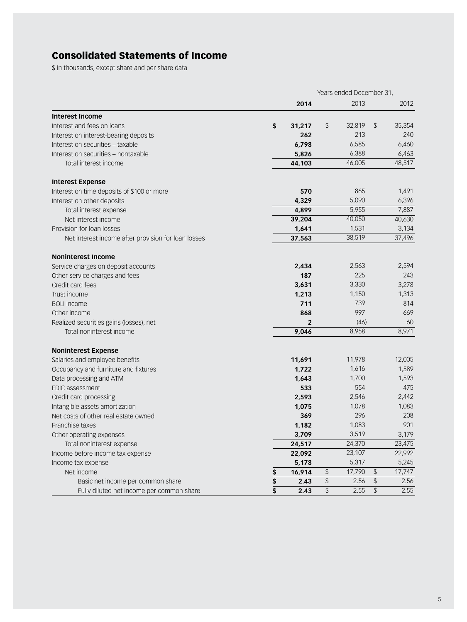## Consolidated Statements of Income

\$ in thousands, except share and per share data

|                                                     | Years ended December 31, |                |    |        |                                               |        |
|-----------------------------------------------------|--------------------------|----------------|----|--------|-----------------------------------------------|--------|
|                                                     |                          | 2014           |    | 2013   |                                               | 2012   |
| <b>Interest Income</b>                              |                          |                |    |        |                                               |        |
| Interest and fees on loans                          | \$                       | 31,217         | \$ | 32,819 | $\sqrt{2}$                                    | 35,354 |
| Interest on interest-bearing deposits               |                          | 262            |    | 213    |                                               | 240    |
| Interest on securities - taxable                    |                          | 6,798          |    | 6,585  |                                               | 6,460  |
| Interest on securities - nontaxable                 |                          | 5,826          |    | 6,388  |                                               | 6,463  |
| Total interest income                               |                          | 44,103         |    | 46,005 |                                               | 48,517 |
| <b>Interest Expense</b>                             |                          |                |    |        |                                               |        |
| Interest on time deposits of \$100 or more          |                          | 570            |    | 865    |                                               | 1,491  |
| Interest on other deposits                          |                          | 4,329          |    | 5,090  |                                               | 6,396  |
| Total interest expense                              |                          | 4,899          |    | 5,955  |                                               | 7,887  |
| Net interest income                                 |                          | 39,204         |    | 40,050 |                                               | 40,630 |
| Provision for loan losses                           |                          | 1,641          |    | 1,531  |                                               | 3,134  |
| Net interest income after provision for loan losses |                          | 37,563         |    | 38,519 |                                               | 37,496 |
| <b>Noninterest Income</b>                           |                          |                |    |        |                                               |        |
| Service charges on deposit accounts                 |                          | 2,434          |    | 2,563  |                                               | 2,594  |
| Other service charges and fees                      |                          | 187            |    | 225    |                                               | 243    |
| Credit card fees                                    |                          | 3,631          |    | 3,330  |                                               | 3,278  |
| Trust income                                        |                          | 1,213          |    | 1,150  |                                               | 1,313  |
| <b>BOLI</b> income                                  |                          | 711            |    | 739    |                                               | 814    |
| Other income                                        |                          | 868            |    | 997    |                                               | 669    |
| Realized securities gains (losses), net             |                          | $\overline{2}$ |    | (46)   |                                               | 60     |
| Total noninterest income                            |                          | 9,046          |    | 8,958  |                                               | 8,971  |
| <b>Noninterest Expense</b>                          |                          |                |    |        |                                               |        |
| Salaries and employee benefits                      |                          | 11,691         |    | 11,978 |                                               | 12,005 |
| Occupancy and furniture and fixtures                |                          | 1,722          |    | 1,616  |                                               | 1,589  |
| Data processing and ATM                             |                          | 1,643          |    | 1,700  |                                               | 1,593  |
| FDIC assessment                                     |                          | 533            |    | 554    |                                               | 475    |
| Credit card processing                              |                          | 2,593          |    | 2,546  |                                               | 2,442  |
| Intangible assets amortization                      |                          | 1,075          |    | 1,078  |                                               | 1,083  |
| Net costs of other real estate owned                |                          | 369            |    | 296    |                                               | 208    |
| Franchise taxes                                     |                          | 1,182          |    | 1,083  |                                               | 901    |
| Other operating expenses                            |                          | 3,709          |    | 3,519  |                                               | 3,179  |
| Total noninterest expense                           |                          | 24,517         |    | 24,370 |                                               | 23,475 |
| Income before income tax expense                    |                          | 22,092         |    | 23,107 |                                               | 22,992 |
| Income tax expense                                  |                          | 5,178          |    | 5,317  |                                               | 5,245  |
| Net income                                          | \$                       | 16,914         | \$ | 17,790 | $\, \, \raisebox{12pt}{$\scriptstyle \circ$}$ | 17,747 |
| Basic net income per common share                   | \$                       | 2.43           | \$ | 2.56   | $\, \, \raisebox{12pt}{$\scriptstyle \circ$}$ | 2.56   |
| Fully diluted net income per common share           | \$                       | 2.43           | \$ | 2.55   | $\, \, \raisebox{12pt}{$\scriptstyle \circ$}$ | 2.55   |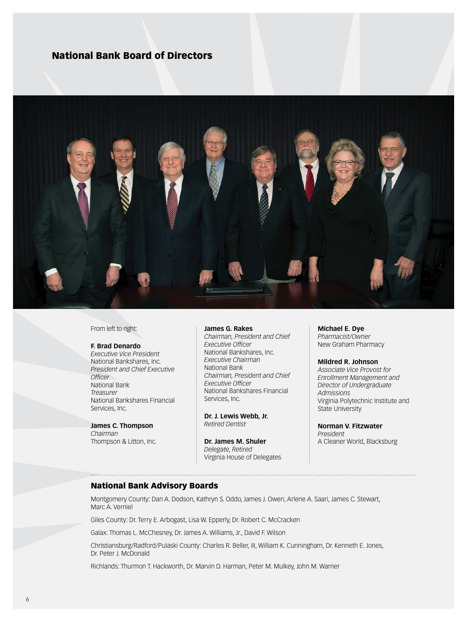### National Bank Board of Directors



From left to right:

#### **F. Brad Denardo**

*Executive Vice President* National Bankshares, Inc. *President and Chief Executive Officer*  National Bank *Treasurer*  National Bankshares Financial Services, Inc.

**James C. Thompson** *Chairman* Thompson & Litton, Inc.

#### **James G. Rakes**

*Chairman, President and Chief Executive Officer* National Bankshares, Inc. *Executive Chairman*  National Bank *Chairman, President and Chief Executive Officer*  National Bankshares Financial Services, Inc.

**Dr. J. Lewis Webb, Jr.** *Retired Dentist*

**Dr. James M. Shuler** *Delegate, Retired*  Virginia House of Delegates **Michael E. Dye**  *Pharmacist/Owner*  New Graham Pharmacy

#### **Mildred R. Johnson**

*Associate Vice Provost for Enrollment Management and Director of Undergraduate Admissions* Virginia Polytechnic Institute and State University

#### **Norman V. Fitzwater** *President*  A Cleaner World, Blacksburg

#### National Bank Advisory Boards

Montgomery County: Dan A. Dodson, Kathryn S. Oddo, James J. Owen, Arlene A. Saari, James C. Stewart, Marc A. Verniel

Giles County: Dr. Terry E. Arbogast, Lisa W. Epperly, Dr. Robert C. McCracken

Galax: Thomas L. McChesney, Dr. James A. Williams, Jr., David F. Wilson

Christiansburg/Radford/Pulaski County: Charles R. Beller, III, William K. Cunningham, Dr. Kenneth E. Jones, Dr. Peter J. McDonald

Richlands: Thurmon T. Hackworth, Dr. Marvin D. Harman, Peter M. Mulkey, John M. Warner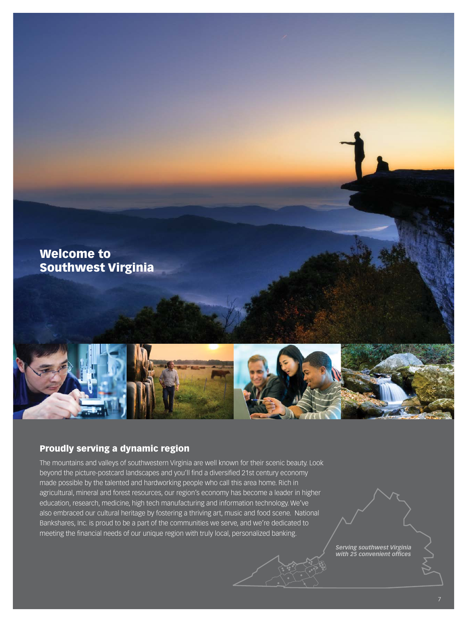

## Proudly serving a dynamic region

The mountains and valleys of southwestern Virginia are well known for their scenic beauty. Look beyond the picture-postcard landscapes and you'll find a diversified 21st century economy made possible by the talented and hardworking people who call this area home. Rich in agricultural, mineral and forest resources, our region's economy has become a leader in higher education, research, medicine, high tech manufacturing and information technology. We've also embraced our cultural heritage by fostering a thriving art, music and food scene. National Bankshares, Inc. is proud to be a part of the communities we serve, and we're dedicated to meeting the financial needs of our unique region with truly local, personalized banking.

> *Serving southwest Virginia with 25 convenient offices*